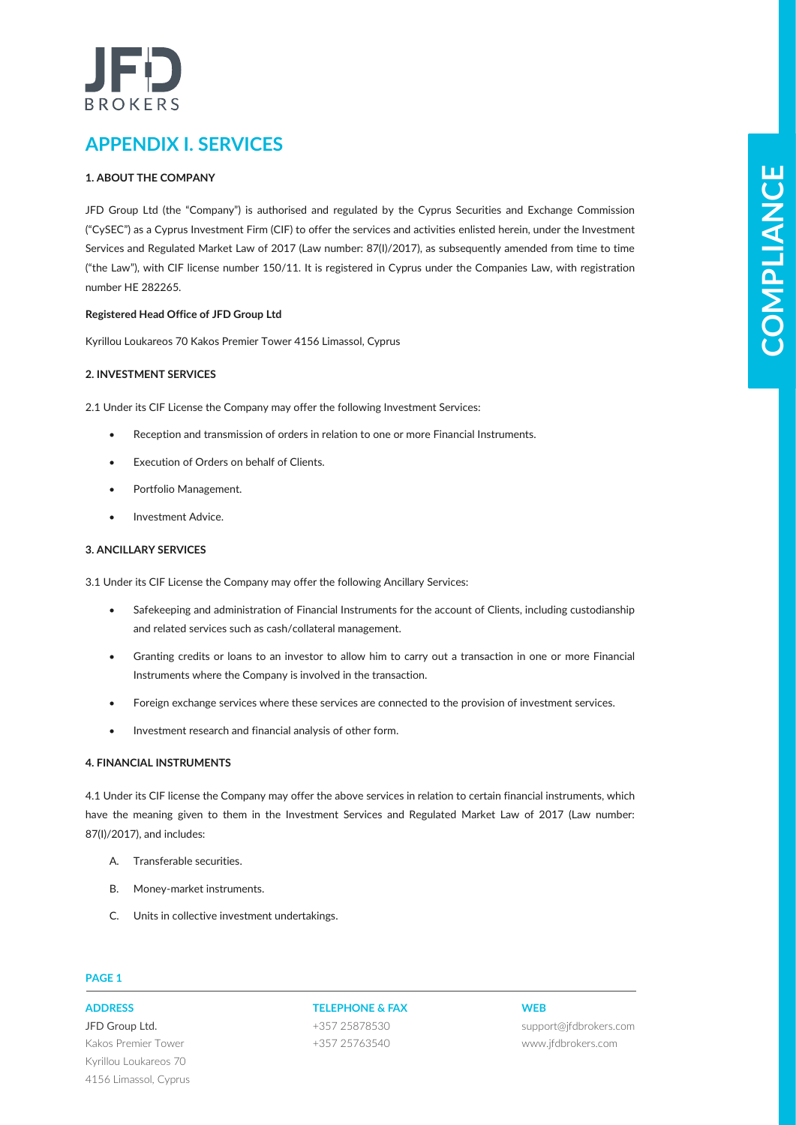# BROKERS

# **APPENDIX I. SERVICES**

# **1. ABOUT THE COMPANY**

**LAGELPTHICONDENSATION (ASSESS)**<br> **COMPLIANCE CONSULTS AND CONSULTS ARE CONSULTS AND CONSULTS ARE CONSULTS AND CONSULTS ARE CONSULTS (CONSULTS)**<br>
CONSULTS AND THE CONSULTS ARE CONSULTS AND CONSULTS ARE CONSULTS ARE CONSULT JFD Group Ltd (the "Company") is authorised and regulated by the Cyprus Securities and Exchange Commission ("CySEC") as a Cyprus Investment Firm (CIF) to offer the services and activities enlisted herein, under the Investment Services and Regulated Market Law of 2017 (Law number: 87(I)/2017), as subsequently amended from time to time ("the Law"), with CIF license number 150/11. It is registered in Cyprus under the Companies Law, with registration number HE 282265.

# **Registered Head Office of JFD Group Ltd**

Kyrillou Loukareos 70 Kakos Premier Tower 4156 Limassol, Cyprus

# **2. INVESTMENT SERVICES**

2.1 Under its CIF License the Company may offer the following Investment Services:

- Reception and transmission of orders in relation to one or more Financial Instruments.
- Execution of Orders on behalf of Clients.
- Portfolio Management.
- Investment Advice.

# **3. ANCILLARY SERVICES**

3.1 Under its CIF License the Company may offer the following Ancillary Services:

- Safekeeping and administration of Financial Instruments for the account of Clients, including custodianship and related services such as cash/collateral management.
- Granting credits or loans to an investor to allow him to carry out a transaction in one or more Financial Instruments where the Company is involved in the transaction.
- Foreign exchange services where these services are connected to the provision of investment services.
- Investment research and financial analysis of other form.

# **4. FINANCIAL INSTRUMENTS**

4.1 Under its CIF license the Company may offer the above services in relation to certain financial instruments, which have the meaning given to them in the Investment Services and Regulated Market Law of 2017 (Law number: 87(I)/2017), and includes:

- A. Transferable securities.
- B. Money-market instruments.
- C. Units in collective investment undertakings.

# **PAGE 1**

JFD Group Ltd. Kakos Premier Tower Kyrillou Loukareos 70 4156 Limassol, Cyprus

# **ADDRESS TELEPHONE & FAX WEB**

+357 25878530 +357 25763540

support@jfdbrokers.com www.jfdbrokers.com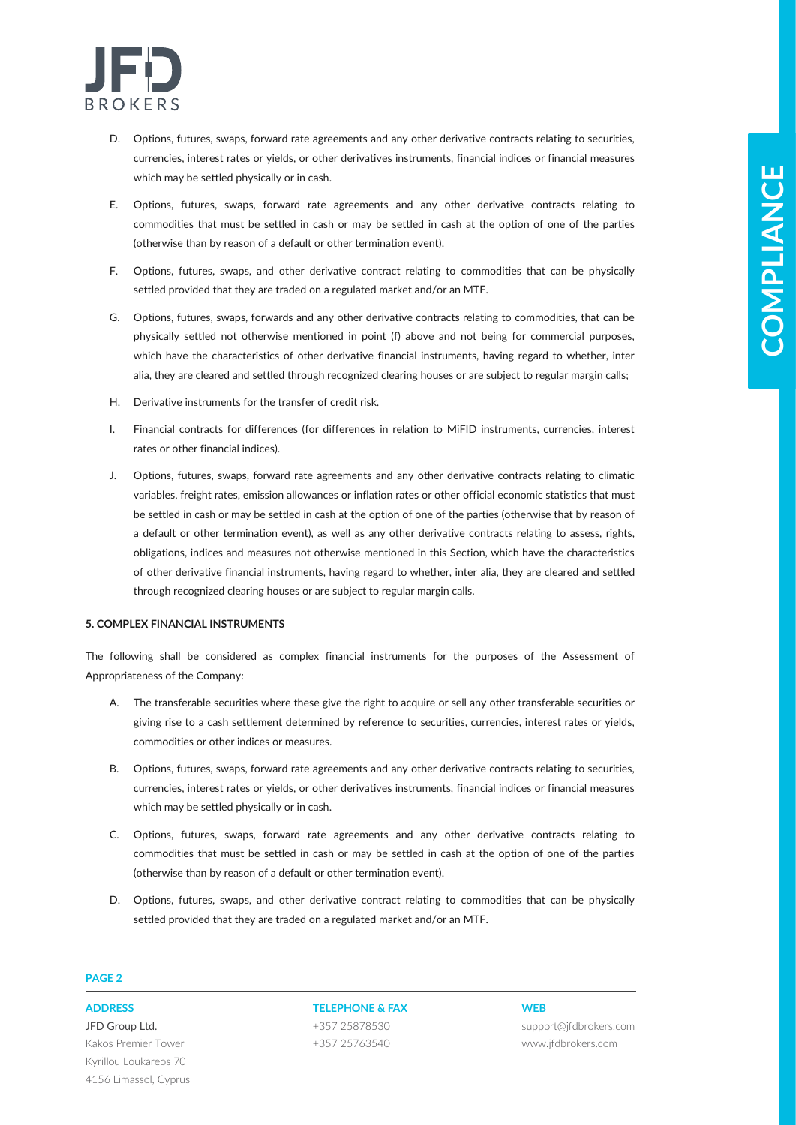

- D. Options, futures, swaps, forward rate agreements and any other derivative contracts relating to securities, currencies, interest rates or yields, or other derivatives instruments, financial indices or financial measures which may be settled physically or in cash.
- E. Options, futures, swaps, forward rate agreements and any other derivative contracts relating to commodities that must be settled in cash or may be settled in cash at the option of one of the parties (otherwise than by reason of a default or other termination event).
- F. Options, futures, swaps, and other derivative contract relating to commodities that can be physically settled provided that they are traded on a regulated market and/or an MTF.
- G. Options, futures, swaps, forwards and any other derivative contracts relating to commodities, that can be physically settled not otherwise mentioned in point (f) above and not being for commercial purposes, which have the characteristics of other derivative financial instruments, having regard to whether, inter alia, they are cleared and settled through recognized clearing houses or are subject to regular margin calls;
- H. Derivative instruments for the transfer of credit risk.
- I. Financial contracts for differences (for differences in relation to MiFID instruments, currencies, interest rates or other financial indices).
- **E-Mix The solution of the control of the solution of the solution of the solution of the solution of the solution of the solution of the solution of the solution of the solution of the solution of the solution of the sol** J. Options, futures, swaps, forward rate agreements and any other derivative contracts relating to climatic variables, freight rates, emission allowances or inflation rates or other official economic statistics that must be settled in cash or may be settled in cash at the option of one of the parties (otherwise that by reason of a default or other termination event), as well as any other derivative contracts relating to assess, rights, obligations, indices and measures not otherwise mentioned in this Section, which have the characteristics of other derivative financial instruments, having regard to whether, inter alia, they are cleared and settled through recognized clearing houses or are subject to regular margin calls.

### **5. COMPLEX FINANCIAL INSTRUMENTS**

The following shall be considered as complex financial instruments for the purposes of the Assessment of Appropriateness of the Company:

- A. The transferable securities where these give the right to acquire or sell any other transferable securities or giving rise to a cash settlement determined by reference to securities, currencies, interest rates or yields, commodities or other indices or measures.
- B. Options, futures, swaps, forward rate agreements and any other derivative contracts relating to securities, currencies, interest rates or yields, or other derivatives instruments, financial indices or financial measures which may be settled physically or in cash.
- C. Options, futures, swaps, forward rate agreements and any other derivative contracts relating to commodities that must be settled in cash or may be settled in cash at the option of one of the parties (otherwise than by reason of a default or other termination event).
- D. Options, futures, swaps, and other derivative contract relating to commodities that can be physically settled provided that they are traded on a regulated market and/or an MTF.

# **PAGE 2**

JFD Group Ltd. Kakos Premier Tower Kyrillou Loukareos 70 4156 Limassol, Cyprus

**ADDRESS TELEPHONE & FAX WEB** +357 25878530 +357 25763540

support@jfdbrokers.com www.jfdbrokers.com